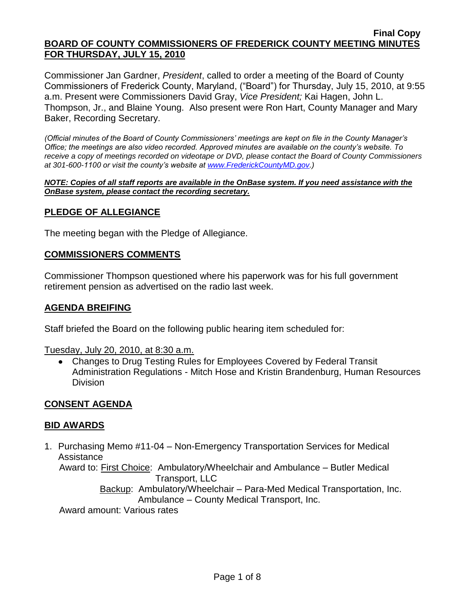Commissioner Jan Gardner, *President*, called to order a meeting of the Board of County Commissioners of Frederick County, Maryland, ("Board") for Thursday, July 15, 2010, at 9:55 a.m. Present were Commissioners David Gray, *Vice President;* Kai Hagen, John L. Thompson, Jr., and Blaine Young. Also present were Ron Hart, County Manager and Mary Baker, Recording Secretary.

*(Official minutes of the Board of County Commissioners' meetings are kept on file in the County Manager's Office; the meetings are also video recorded. Approved minutes are available on the county's website. To receive a copy of meetings recorded on videotape or DVD, please contact the Board of County Commissioners at 301-600-1100 or visit the county's website at [www.FrederickCountyMD.gov.](http://www.frederickcountymd.gov/))*

*NOTE: Copies of all staff reports are available in the OnBase system. If you need assistance with the OnBase system, please contact the recording secretary.*

#### **PLEDGE OF ALLEGIANCE**

The meeting began with the Pledge of Allegiance.

#### **COMMISSIONERS COMMENTS**

Commissioner Thompson questioned where his paperwork was for his full government retirement pension as advertised on the radio last week.

#### **AGENDA BREIFING**

Staff briefed the Board on the following public hearing item scheduled for:

Tuesday, July 20, 2010, at 8:30 a.m.

Changes to Drug Testing Rules for Employees Covered by Federal Transit Administration Regulations - Mitch Hose and Kristin Brandenburg, Human Resources Division

### **CONSENT AGENDA**

#### **BID AWARDS**

1. Purchasing Memo #11-04 – Non-Emergency Transportation Services for Medical Assistance

 Award to: First Choice: Ambulatory/Wheelchair and Ambulance – Butler Medical Transport, LLC

> Backup: Ambulatory/Wheelchair – Para-Med Medical Transportation, Inc. Ambulance – County Medical Transport, Inc.

Award amount: Various rates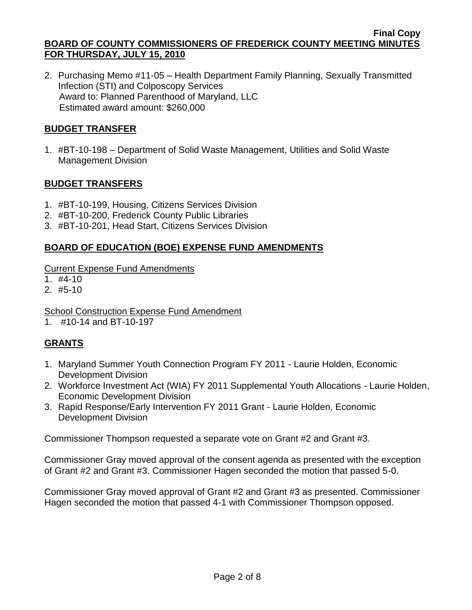2. Purchasing Memo #11-05 – Health Department Family Planning, Sexually Transmitted Infection (STI) and Colposcopy Services Award to: Planned Parenthood of Maryland, LLC Estimated award amount: \$260,000

## **BUDGET TRANSFER**

1. #BT-10-198 – Department of Solid Waste Management, Utilities and Solid Waste Management Division

## **BUDGET TRANSFERS**

- 1. #BT-10-199, Housing, Citizens Services Division
- 2. #BT-10-200, Frederick County Public Libraries
- 3. #BT-10-201, Head Start, Citizens Services Division

## **BOARD OF EDUCATION (BOE) EXPENSE FUND AMENDMENTS**

Current Expense Fund Amendments

- $1.$  #4-10
- $2.$  #5-10

## School Construction Expense Fund Amendment

1. #10-14 and BT-10-197

# **GRANTS**

- 1. Maryland Summer Youth Connection Program FY 2011 Laurie Holden, Economic Development Division
- 2. Workforce Investment Act (WIA) FY 2011 Supplemental Youth Allocations Laurie Holden, Economic Development Division
- 3. Rapid Response/Early Intervention FY 2011 Grant Laurie Holden, Economic Development Division

Commissioner Thompson requested a separate vote on Grant #2 and Grant #3.

Commissioner Gray moved approval of the consent agenda as presented with the exception of Grant #2 and Grant #3. Commissioner Hagen seconded the motion that passed 5-0.

Commissioner Gray moved approval of Grant #2 and Grant #3 as presented. Commissioner Hagen seconded the motion that passed 4-1 with Commissioner Thompson opposed.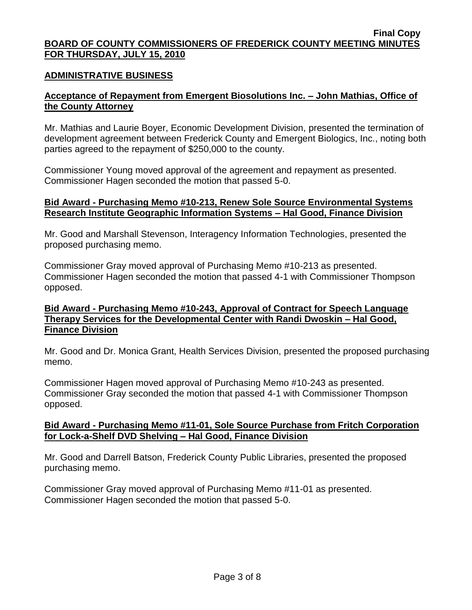#### **ADMINISTRATIVE BUSINESS**

### **Acceptance of Repayment from Emergent Biosolutions Inc. – John Mathias, Office of the County Attorney**

Mr. Mathias and Laurie Boyer, Economic Development Division, presented the termination of development agreement between Frederick County and Emergent Biologics, Inc., noting both parties agreed to the repayment of \$250,000 to the county.

Commissioner Young moved approval of the agreement and repayment as presented. Commissioner Hagen seconded the motion that passed 5-0.

#### **Bid Award - Purchasing Memo #10-213, Renew Sole Source Environmental Systems Research Institute Geographic Information Systems – Hal Good, Finance Division**

Mr. Good and Marshall Stevenson, Interagency Information Technologies, presented the proposed purchasing memo.

Commissioner Gray moved approval of Purchasing Memo #10-213 as presented. Commissioner Hagen seconded the motion that passed 4-1 with Commissioner Thompson opposed.

#### **Bid Award - Purchasing Memo #10-243, Approval of Contract for Speech Language Therapy Services for the Developmental Center with Randi Dwoskin – Hal Good, Finance Division**

Mr. Good and Dr. Monica Grant, Health Services Division, presented the proposed purchasing memo.

Commissioner Hagen moved approval of Purchasing Memo #10-243 as presented. Commissioner Gray seconded the motion that passed 4-1 with Commissioner Thompson opposed.

#### **Bid Award - Purchasing Memo #11-01, Sole Source Purchase from Fritch Corporation for Lock-a-Shelf DVD Shelving – Hal Good, Finance Division**

Mr. Good and Darrell Batson, Frederick County Public Libraries, presented the proposed purchasing memo.

Commissioner Gray moved approval of Purchasing Memo #11-01 as presented. Commissioner Hagen seconded the motion that passed 5-0.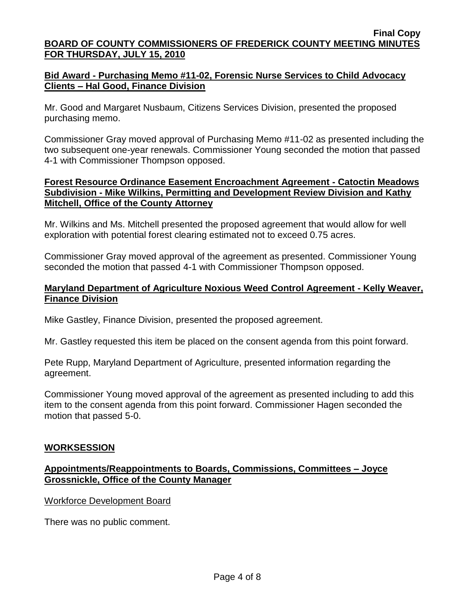## **Bid Award - Purchasing Memo #11-02, Forensic Nurse Services to Child Advocacy Clients – Hal Good, Finance Division**

Mr. Good and Margaret Nusbaum, Citizens Services Division, presented the proposed purchasing memo.

Commissioner Gray moved approval of Purchasing Memo #11-02 as presented including the two subsequent one-year renewals. Commissioner Young seconded the motion that passed 4-1 with Commissioner Thompson opposed.

## **Forest Resource Ordinance Easement Encroachment Agreement - Catoctin Meadows Subdivision - Mike Wilkins, Permitting and Development Review Division and Kathy Mitchell, Office of the County Attorney**

Mr. Wilkins and Ms. Mitchell presented the proposed agreement that would allow for well exploration with potential forest clearing estimated not to exceed 0.75 acres.

Commissioner Gray moved approval of the agreement as presented. Commissioner Young seconded the motion that passed 4-1 with Commissioner Thompson opposed.

## **Maryland Department of Agriculture Noxious Weed Control Agreement - Kelly Weaver, Finance Division**

Mike Gastley, Finance Division, presented the proposed agreement.

Mr. Gastley requested this item be placed on the consent agenda from this point forward.

Pete Rupp, Maryland Department of Agriculture, presented information regarding the agreement.

Commissioner Young moved approval of the agreement as presented including to add this item to the consent agenda from this point forward. Commissioner Hagen seconded the motion that passed 5-0.

# **WORKSESSION**

# **Appointments/Reappointments to Boards, Commissions, Committees – Joyce Grossnickle, Office of the County Manager**

Workforce Development Board

There was no public comment.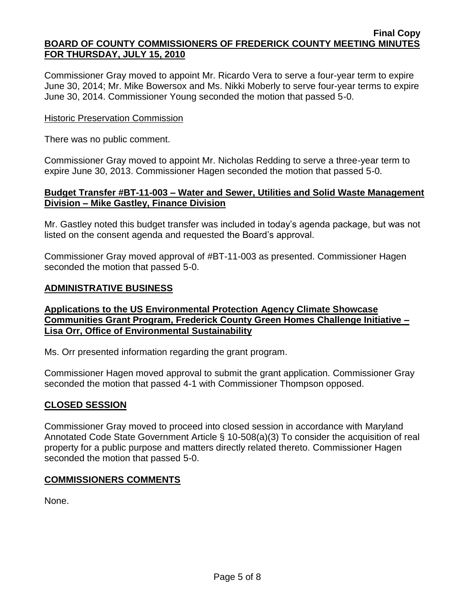Commissioner Gray moved to appoint Mr. Ricardo Vera to serve a four-year term to expire June 30, 2014; Mr. Mike Bowersox and Ms. Nikki Moberly to serve four-year terms to expire June 30, 2014. Commissioner Young seconded the motion that passed 5-0.

#### **Historic Preservation Commission**

There was no public comment.

Commissioner Gray moved to appoint Mr. Nicholas Redding to serve a three-year term to expire June 30, 2013. Commissioner Hagen seconded the motion that passed 5-0.

#### **Budget Transfer #BT-11-003 – Water and Sewer, Utilities and Solid Waste Management Division – Mike Gastley, Finance Division**

Mr. Gastley noted this budget transfer was included in today's agenda package, but was not listed on the consent agenda and requested the Board's approval.

Commissioner Gray moved approval of #BT-11-003 as presented. Commissioner Hagen seconded the motion that passed 5-0.

## **ADMINISTRATIVE BUSINESS**

## **Applications to the US Environmental Protection Agency Climate Showcase Communities Grant Program, Frederick County Green Homes Challenge Initiative – Lisa Orr, Office of Environmental Sustainability**

Ms. Orr presented information regarding the grant program.

Commissioner Hagen moved approval to submit the grant application. Commissioner Gray seconded the motion that passed 4-1 with Commissioner Thompson opposed.

## **CLOSED SESSION**

Commissioner Gray moved to proceed into closed session in accordance with Maryland Annotated Code State Government Article § 10-508(a)(3) To consider the acquisition of real property for a public purpose and matters directly related thereto. Commissioner Hagen seconded the motion that passed 5-0.

## **COMMISSIONERS COMMENTS**

None.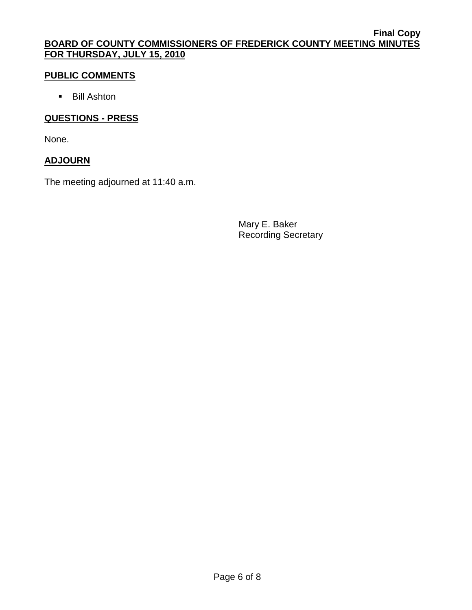## **PUBLIC COMMENTS**

**Bill Ashton** 

## **QUESTIONS - PRESS**

None.

## **ADJOURN**

The meeting adjourned at 11:40 a.m.

Mary E. Baker Recording Secretary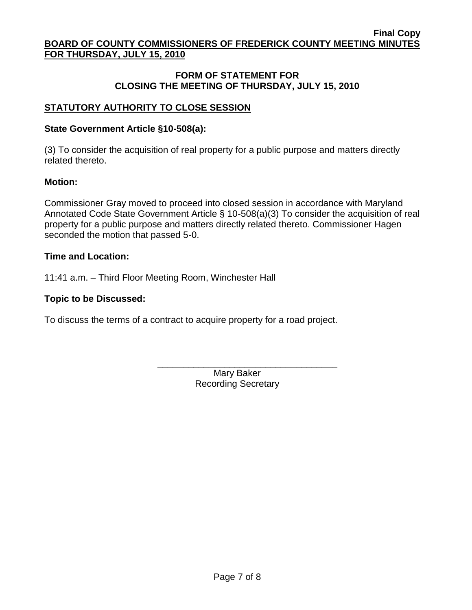## **FORM OF STATEMENT FOR CLOSING THE MEETING OF THURSDAY, JULY 15, 2010**

# **STATUTORY AUTHORITY TO CLOSE SESSION**

## **State Government Article §10-508(a):**

(3) To consider the acquisition of real property for a public purpose and matters directly related thereto.

## **Motion:**

Commissioner Gray moved to proceed into closed session in accordance with Maryland Annotated Code State Government Article § 10-508(a)(3) To consider the acquisition of real property for a public purpose and matters directly related thereto. Commissioner Hagen seconded the motion that passed 5-0.

## **Time and Location:**

11:41 a.m. – Third Floor Meeting Room, Winchester Hall

## **Topic to be Discussed:**

To discuss the terms of a contract to acquire property for a road project.

 $\frac{1}{\sqrt{2}}$  ,  $\frac{1}{\sqrt{2}}$  ,  $\frac{1}{\sqrt{2}}$  ,  $\frac{1}{\sqrt{2}}$  ,  $\frac{1}{\sqrt{2}}$  ,  $\frac{1}{\sqrt{2}}$  ,  $\frac{1}{\sqrt{2}}$  ,  $\frac{1}{\sqrt{2}}$  ,  $\frac{1}{\sqrt{2}}$  ,  $\frac{1}{\sqrt{2}}$  ,  $\frac{1}{\sqrt{2}}$  ,  $\frac{1}{\sqrt{2}}$  ,  $\frac{1}{\sqrt{2}}$  ,  $\frac{1}{\sqrt{2}}$  ,  $\frac{1}{\sqrt{2}}$ 

Mary Baker Recording Secretary